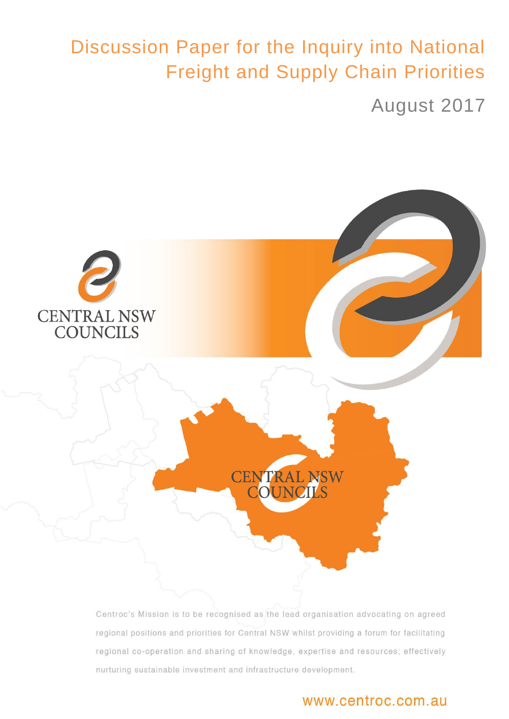# Discussion Paper for the Inquiry into National Freight and Supply Chain Priorities

August 2017



Centroc's Mission is to be recognised as the lead organisation advocating on agreed regional positions and priorities for Central NSW whilst providing a forum for facilitating regional co-operation and sharing of knowledge, expertise and resources; effectively  $C$ 

# www.centroc.com.au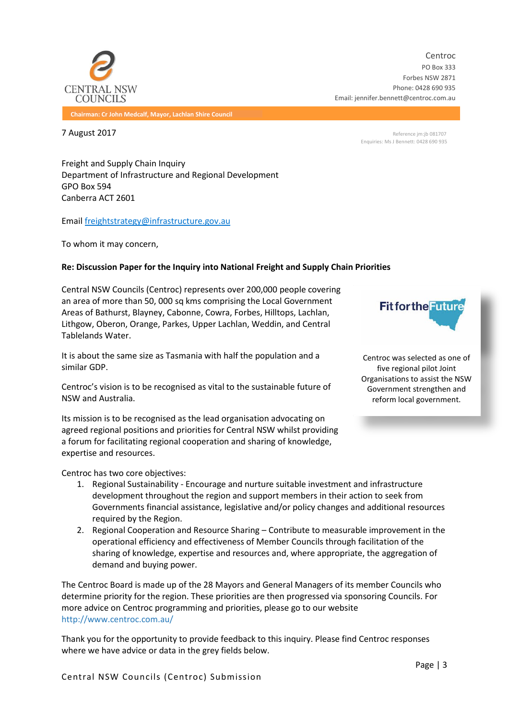![](_page_2_Picture_0.jpeg)

Centroc PO Box 333 Forbes NSW 2871 Phone: 0428 690 935 Email: jennifer.bennett@centroc.com.au

**Chairman: Cr John Medcalf, Mayor, Lachlan Shire Council**

**7 August 2017** Reference jm:jb 081707 Enquiries: Ms J Bennett: 0428 690 935

Freight and Supply Chain Inquiry Department of Infrastructure and Regional Development GPO Box 594 Canberra ACT 2601

Email [freightstrategy@infrastructure.gov.au](mailto:freightstrategy@infrastructure.gov.au)

To whom it may concern,

#### **Re: Discussion Paper for the Inquiry into National Freight and Supply Chain Priorities**

Central NSW Councils (Centroc) represents over 200,000 people covering an area of more than 50, 000 sq kms comprising the Local Government Areas of Bathurst, Blayney, Cabonne, Cowra, Forbes, Hilltops, Lachlan, Lithgow, Oberon, Orange, Parkes, Upper Lachlan, Weddin, and Central Tablelands Water.

It is about the same size as Tasmania with half the population and a similar GDP.

Centroc's vision is to be recognised as vital to the sustainable future of NSW and Australia.

Its mission is to be recognised as the lead organisation advocating on agreed regional positions and priorities for Central NSW whilst providing a forum for facilitating regional cooperation and sharing of knowledge, expertise and resources.

Centroc has two core objectives:

- 1. Regional Sustainability Encourage and nurture suitable investment and infrastructure development throughout the region and support members in their action to seek from Governments financial assistance, legislative and/or policy changes and additional resources required by the Region.
- 2. Regional Cooperation and Resource Sharing Contribute to measurable improvement in the operational efficiency and effectiveness of Member Councils through facilitation of the sharing of knowledge, expertise and resources and, where appropriate, the aggregation of demand and buying power.

The Centroc Board is made up of the 28 Mayors and General Managers of its member Councils who determine priority for the region. These priorities are then progressed via sponsoring Councils. For more advice on Centroc programming and priorities, please go to our website <http://www.centroc.com.au/>

Thank you for the opportunity to provide feedback to this inquiry. Please find Centroc responses where we have advice or data in the grey fields below.

**Fit for the Future** 

Centroc was selected as one of five regional pilot Joint Organisations to assist the NSW Government strengthen and reform local government.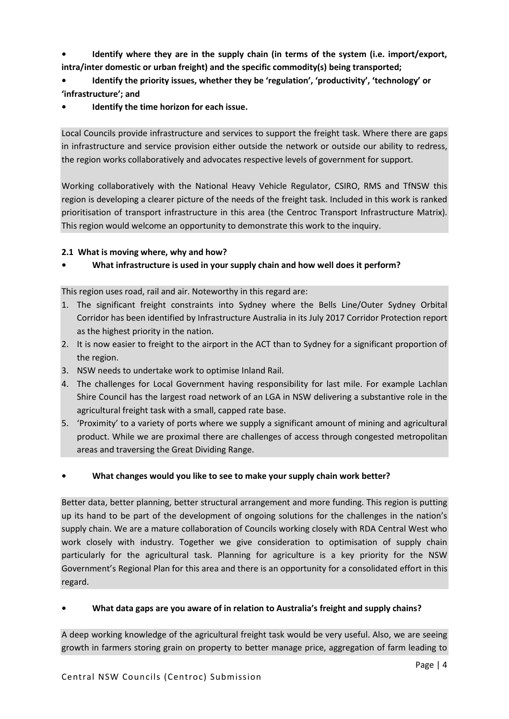**• Identify where they are in the supply chain (in terms of the system (i.e. import/export, intra/inter domestic or urban freight) and the specific commodity(s) being transported;**

**• Identify the priority issues, whether they be 'regulation', 'productivity', 'technology' or 'infrastructure'; and**

**• Identify the time horizon for each issue.**

Local Councils provide infrastructure and services to support the freight task. Where there are gaps in infrastructure and service provision either outside the network or outside our ability to redress, the region works collaboratively and advocates respective levels of government for support.

Working collaboratively with the National Heavy Vehicle Regulator, CSIRO, RMS and TfNSW this region is developing a clearer picture of the needs of the freight task. Included in this work is ranked prioritisation of transport infrastructure in this area (the Centroc Transport Infrastructure Matrix). This region would welcome an opportunity to demonstrate this work to the inquiry.

# **2.1 What is moving where, why and how?**

# **• What infrastructure is used in your supply chain and how well does it perform?**

This region uses road, rail and air. Noteworthy in this regard are:

- 1. The significant freight constraints into Sydney where the Bells Line/Outer Sydney Orbital Corridor has been identified by Infrastructure Australia in its July 2017 Corridor Protection report as the highest priority in the nation.
- 2. It is now easier to freight to the airport in the ACT than to Sydney for a significant proportion of the region.
- 3. NSW needs to undertake work to optimise Inland Rail.
- 4. The challenges for Local Government having responsibility for last mile. For example Lachlan Shire Council has the largest road network of an LGA in NSW delivering a substantive role in the agricultural freight task with a small, capped rate base.
- 5. 'Proximity' to a variety of ports where we supply a significant amount of mining and agricultural product. While we are proximal there are challenges of access through congested metropolitan areas and traversing the Great Dividing Range.

# **• What changes would you like to see to make your supply chain work better?**

Better data, better planning, better structural arrangement and more funding. This region is putting up its hand to be part of the development of ongoing solutions for the challenges in the nation's supply chain. We are a mature collaboration of Councils working closely with RDA Central West who work closely with industry. Together we give consideration to optimisation of supply chain particularly for the agricultural task. Planning for agriculture is a key priority for the NSW Government's Regional Plan for this area and there is an opportunity for a consolidated effort in this regard.

# **• What data gaps are you aware of in relation to Australia's freight and supply chains?**

A deep working knowledge of the agricultural freight task would be very useful. Also, we are seeing growth in farmers storing grain on property to better manage price, aggregation of farm leading to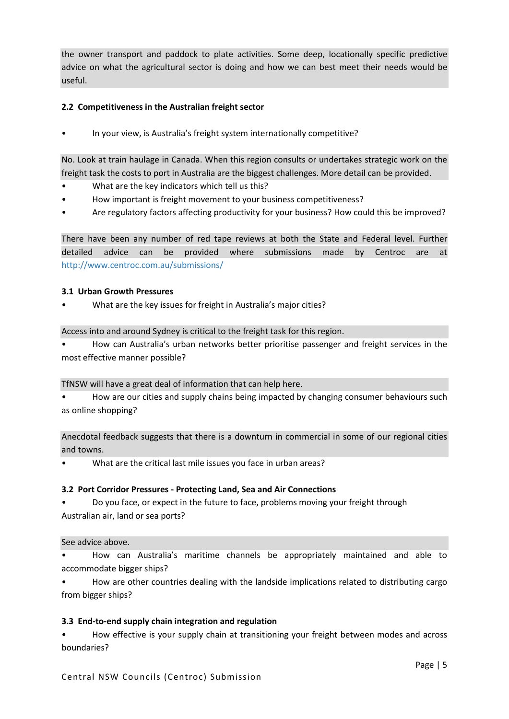the owner transport and paddock to plate activities. Some deep, locationally specific predictive advice on what the agricultural sector is doing and how we can best meet their needs would be useful.

# **2.2 Competitiveness in the Australian freight sector**

• In your view, is Australia's freight system internationally competitive?

No. Look at train haulage in Canada. When this region consults or undertakes strategic work on the freight task the costs to port in Australia are the biggest challenges. More detail can be provided.

- What are the key indicators which tell us this?
- How important is freight movement to your business competitiveness?
- Are regulatory factors affecting productivity for your business? How could this be improved?

There have been any number of red tape reviews at both the State and Federal level. Further detailed advice can be provided where submissions made by Centroc are at <http://www.centroc.com.au/submissions/>

## **3.1 Urban Growth Pressures**

• What are the key issues for freight in Australia's major cities?

Access into and around Sydney is critical to the freight task for this region.

• How can Australia's urban networks better prioritise passenger and freight services in the most effective manner possible?

#### TfNSW will have a great deal of information that can help here.

• How are our cities and supply chains being impacted by changing consumer behaviours such as online shopping?

Anecdotal feedback suggests that there is a downturn in commercial in some of our regional cities and towns.

What are the critical last mile issues you face in urban areas?

#### **3.2 Port Corridor Pressures - Protecting Land, Sea and Air Connections**

• Do you face, or expect in the future to face, problems moving your freight through Australian air, land or sea ports?

#### See advice above.

• How can Australia's maritime channels be appropriately maintained and able to accommodate bigger ships?

• How are other countries dealing with the landside implications related to distributing cargo from bigger ships?

#### **3.3 End-to-end supply chain integration and regulation**

• How effective is your supply chain at transitioning your freight between modes and across boundaries?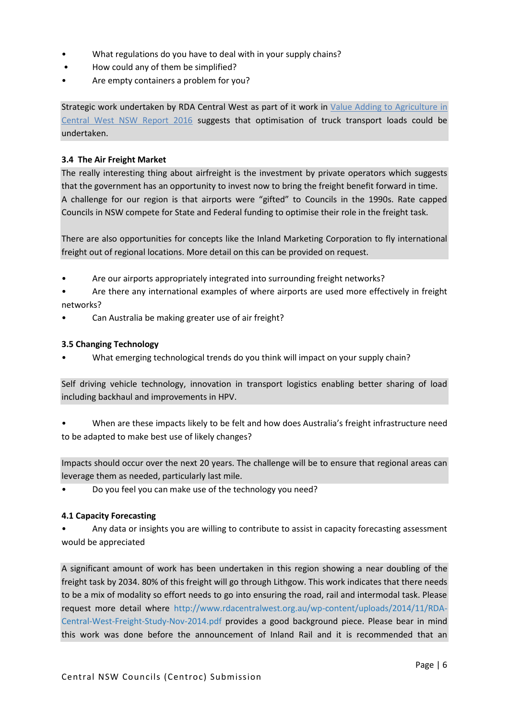- What regulations do you have to deal with in your supply chains?
- How could any of them be simplified?
- Are empty containers a problem for you?

Strategic work undertaken by RDA Central West as part of it work in [Value Adding to Agriculture](http://www.rdacentralwest.org.au/wp-content/uploads/2016/09/FINAL-Value-Adding-to-Agriculture.pdf) in [Central West NSW Report 2016](http://www.rdacentralwest.org.au/wp-content/uploads/2016/09/FINAL-Value-Adding-to-Agriculture.pdf) suggests that optimisation of truck transport loads could be undertaken.

# **3.4 The Air Freight Market**

The really interesting thing about airfreight is the investment by private operators which suggests that the government has an opportunity to invest now to bring the freight benefit forward in time. A challenge for our region is that airports were "gifted" to Councils in the 1990s. Rate capped Councils in NSW compete for State and Federal funding to optimise their role in the freight task.

There are also opportunities for concepts like the Inland Marketing Corporation to fly international freight out of regional locations. More detail on this can be provided on request.

• Are our airports appropriately integrated into surrounding freight networks?

• Are there any international examples of where airports are used more effectively in freight networks?

• Can Australia be making greater use of air freight?

#### **3.5 Changing Technology**

• What emerging technological trends do you think will impact on your supply chain?

Self driving vehicle technology, innovation in transport logistics enabling better sharing of load including backhaul and improvements in HPV.

• When are these impacts likely to be felt and how does Australia's freight infrastructure need to be adapted to make best use of likely changes?

Impacts should occur over the next 20 years. The challenge will be to ensure that regional areas can leverage them as needed, particularly last mile.

• Do you feel you can make use of the technology you need?

#### **4.1 Capacity Forecasting**

• Any data or insights you are willing to contribute to assist in capacity forecasting assessment would be appreciated

A significant amount of work has been undertaken in this region showing a near doubling of the freight task by 2034. 80% of this freight will go through Lithgow. This work indicates that there needs to be a mix of modality so effort needs to go into ensuring the road, rail and intermodal task. Please request more detail where [http://www.rdacentralwest.org.au/wp-content/uploads/2014/11/RDA-](http://www.rdacentralwest.org.au/wp-content/uploads/2014/11/RDA-Central-West-Freight-Study-Nov-2014.pdf)[Central-West-Freight-Study-Nov-2014.pdf](http://www.rdacentralwest.org.au/wp-content/uploads/2014/11/RDA-Central-West-Freight-Study-Nov-2014.pdf) provides a good background piece. Please bear in mind this work was done before the announcement of Inland Rail and it is recommended that an